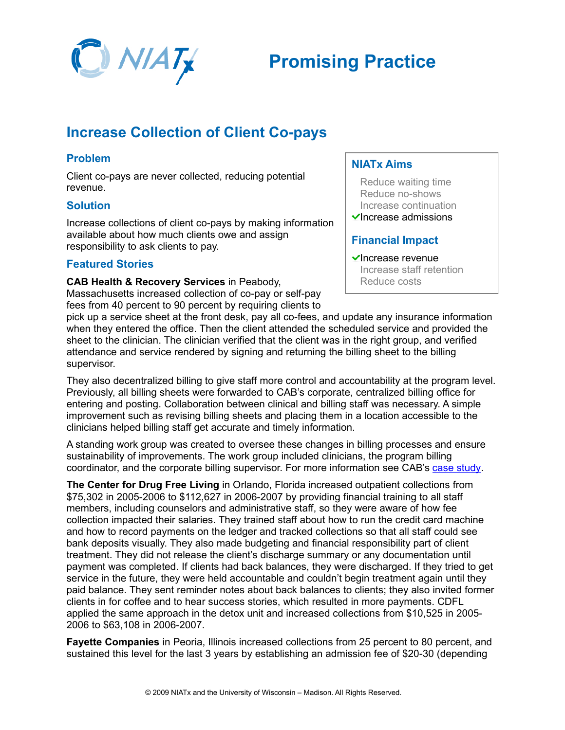

# **Increase Collection of Client Co-pays**

## **Problem**

Client co-pays are never collected, reducing potential revenue.

### **Solution**

Increase collections of client co-pays by making information available about how much clients owe and assign responsibility to ask clients to pay.

# **Featured Stories**

**CAB Health & Recovery Services** in Peabody,

Massachusetts increased collection of co-pay or self-pay fees from 40 percent to 90 percent by requiring clients to

## **NIATx Aims**

Reduce waiting time Reduce no-shows Increase continuation  $\checkmark$ Increase admissions

# **Financial Impact**

 $\checkmark$ Increase revenue Increase staff retention Reduce costs

pick up a service sheet at the front desk, pay all co-fees, and update any insurance information when they entered the office. Then the client attended the scheduled service and provided the sheet to the clinician. The clinician verified that the client was in the right group, and verified attendance and service rendered by signing and returning the billing sheet to the billing supervisor.

They also decentralized billing to give staff more control and accountability at the program level. Previously, all billing sheets were forwarded to CAB's corporate, centralized billing office for entering and posting. Collaboration between clinical and billing staff was necessary. A simple improvement such as revising billing sheets and placing them in a location accessible to the clinicians helped billing staff get accurate and timely information.

A standing work group was created to oversee these changes in billing processes and ensure sustainability of improvements. The work group included clinicians, the program billing coordinator, and the corporate billing supervisor. For more information see CAB's [case study.](http://www.niatx.net/toolkits/provider/cab-outpatient.pdf)

**The Center for Drug Free Living** in Orlando, Florida increased outpatient collections from \$75,302 in 2005-2006 to \$112,627 in 2006-2007 by providing financial training to all staff members, including counselors and administrative staff, so they were aware of how fee collection impacted their salaries. They trained staff about how to run the credit card machine and how to record payments on the ledger and tracked collections so that all staff could see bank deposits visually. They also made budgeting and financial responsibility part of client treatment. They did not release the client's discharge summary or any documentation until payment was completed. If clients had back balances, they were discharged. If they tried to get service in the future, they were held accountable and couldn't begin treatment again until they paid balance. They sent reminder notes about back balances to clients; they also invited former clients in for coffee and to hear success stories, which resulted in more payments. CDFL applied the same approach in the detox unit and increased collections from \$10,525 in 2005- 2006 to \$63,108 in 2006-2007.

**Fayette Companies** in Peoria, Illinois increased collections from 25 percent to 80 percent, and sustained this level for the last 3 years by establishing an admission fee of \$20-30 (depending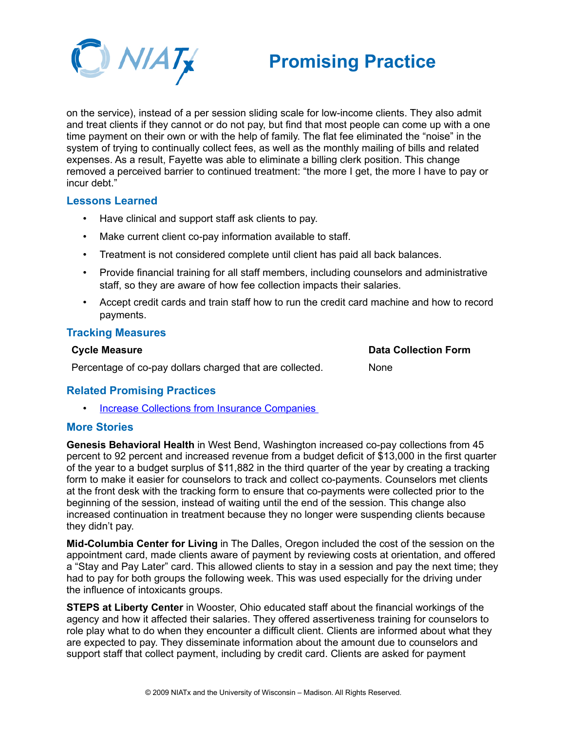

# **Promising Practice**

on the service), instead of a per session sliding scale for low-income clients. They also admit and treat clients if they cannot or do not pay, but find that most people can come up with a one time payment on their own or with the help of family. The flat fee eliminated the "noise" in the system of trying to continually collect fees, as well as the monthly mailing of bills and related expenses. As a result, Fayette was able to eliminate a billing clerk position. This change removed a perceived barrier to continued treatment: "the more I get, the more I have to pay or incur debt."

#### **Lessons Learned**

- Have clinical and support staff ask clients to pay.
- Make current client co-pay information available to staff.
- Treatment is not considered complete until client has paid all back balances.
- Provide financial training for all staff members, including counselors and administrative staff, so they are aware of how fee collection impacts their salaries.
- Accept credit cards and train staff how to run the credit card machine and how to record payments.

#### **Tracking Measures**

#### **Cycle Measure**

**Data Collection Form**

None

Percentage of co-pay dollars charged that are collected.

### **Related Promising Practices**

• [Increase Collections from Insurance Companies](http://www.niatx.net/toolkits/provider/PP_IncreaseCollectionsInsurance.pdf)

#### **More Stories**

**Genesis Behavioral Health** in West Bend, Washington increased co-pay collections from 45 percent to 92 percent and increased revenue from a budget deficit of \$13,000 in the first quarter of the year to a budget surplus of \$11,882 in the third quarter of the year by creating a tracking form to make it easier for counselors to track and collect co-payments. Counselors met clients at the front desk with the tracking form to ensure that co-payments were collected prior to the beginning of the session, instead of waiting until the end of the session. This change also increased continuation in treatment because they no longer were suspending clients because they didn't pay.

**Mid-Columbia Center for Living** in The Dalles, Oregon included the cost of the session on the appointment card, made clients aware of payment by reviewing costs at orientation, and offered a "Stay and Pay Later" card. This allowed clients to stay in a session and pay the next time; they had to pay for both groups the following week. This was used especially for the driving under the influence of intoxicants groups.

**STEPS at Liberty Center** in Wooster, Ohio educated staff about the financial workings of the agency and how it affected their salaries. They offered assertiveness training for counselors to role play what to do when they encounter a difficult client. Clients are informed about what they are expected to pay. They disseminate information about the amount due to counselors and support staff that collect payment, including by credit card. Clients are asked for payment